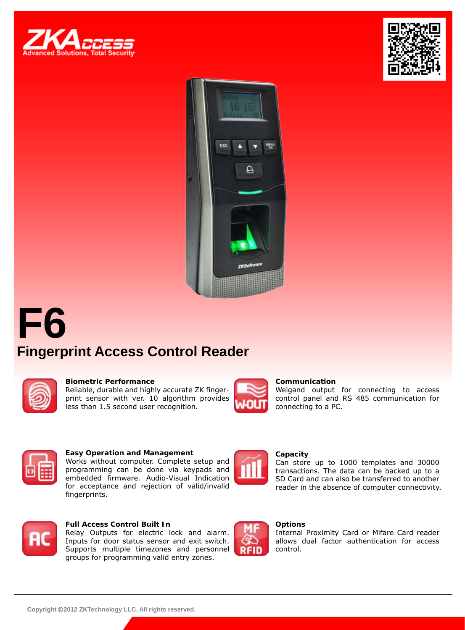





# **F6 Fingerprint Access Control Reader**



#### **Biometric Performance**

Reliable, durable and highly accurate ZK fingerprint sensor with ver. 10 algorithm provides less than 1.5 second user recognition.



#### **Communication**

Weigand output for connecting to access control panel and RS 485 communication for connecting to a PC.

Can store up to 1000 templates and 30000 transactions. The data can be backed up to a SD Card and can also be transferred to another reader in the absence of computer connectivity.



### **Easy Operation and Management**

Works without computer. Complete setup and programming can be done via keypads and embedded firmware. Audio-Visual Indication for acceptance and rejection of valid/invalid fingerprints.



### **Full Access Control Built In**

Relay Outputs for electric lock and alarm. Inputs for door status sensor and exit switch. Supports multiple timezones and personnel groups for programming valid entry zones.



### **Options**

**Capacity**

Internal Proximity Card or Mifare Card reader allows dual factor authentication for access control.